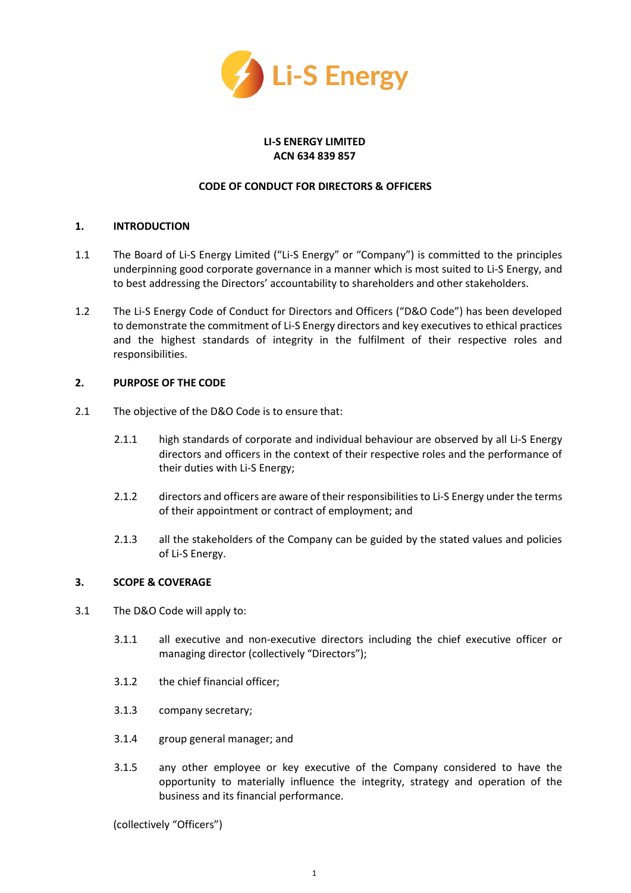

## **LI-S ENERGY LIMITED ACN 634 839 857**

## **CODE OF CONDUCT FOR DIRECTORS & OFFICERS**

## **1. INTRODUCTION**

- 1.1 The Board of Li-S Energy Limited ("Li-S Energy" or "Company") is committed to the principles underpinning good corporate governance in a manner which is most suited to Li-S Energy, and to best addressing the Directors' accountability to shareholders and other stakeholders.
- 1.2 The Li-S Energy Code of Conduct for Directors and Officers ("D&O Code") has been developed to demonstrate the commitment of Li-S Energy directors and key executives to ethical practices and the highest standards of integrity in the fulfilment of their respective roles and responsibilities.

#### **2. PURPOSE OF THE CODE**

- 2.1 The objective of the D&O Code is to ensure that:
	- 2.1.1 high standards of corporate and individual behaviour are observed by all Li-S Energy directors and officers in the context of their respective roles and the performance of their duties with Li-S Energy;
	- 2.1.2 directors and officers are aware of their responsibilities to Li-S Energy under the terms of their appointment or contract of employment; and
	- 2.1.3 all the stakeholders of the Company can be guided by the stated values and policies of Li-S Energy.

#### **3. SCOPE & COVERAGE**

- 3.1 The D&O Code will apply to:
	- 3.1.1 all executive and non-executive directors including the chief executive officer or managing director (collectively "Directors");
	- 3.1.2 the chief financial officer;
	- 3.1.3 company secretary;
	- 3.1.4 group general manager; and
	- 3.1.5 any other employee or key executive of the Company considered to have the opportunity to materially influence the integrity, strategy and operation of the business and its financial performance.

(collectively "Officers")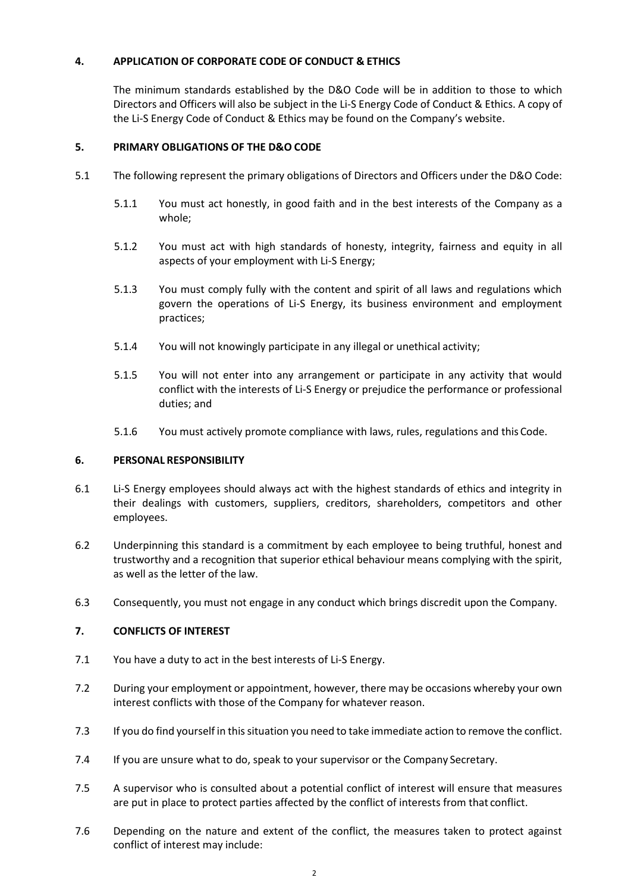# **4. APPLICATION OF CORPORATE CODE OF CONDUCT & ETHICS**

The minimum standards established by the D&O Code will be in addition to those to which Directors and Officers will also be subject in the Li-S Energy Code of Conduct & Ethics. A copy of the Li-S Energy Code of Conduct & Ethics may be found on the Company's website.

## **5. PRIMARY OBLIGATIONS OF THE D&O CODE**

- 5.1 The following represent the primary obligations of Directors and Officers under the D&O Code:
	- 5.1.1 You must act honestly, in good faith and in the best interests of the Company as a whole;
	- 5.1.2 You must act with high standards of honesty, integrity, fairness and equity in all aspects of your employment with Li-S Energy;
	- 5.1.3 You must comply fully with the content and spirit of all laws and regulations which govern the operations of Li-S Energy, its business environment and employment practices;
	- 5.1.4 You will not knowingly participate in any illegal or unethical activity;
	- 5.1.5 You will not enter into any arrangement or participate in any activity that would conflict with the interests of Li-S Energy or prejudice the performance or professional duties; and
	- 5.1.6 You must actively promote compliance with laws, rules, regulations and this Code.

#### **6. PERSONAL RESPONSIBILITY**

- 6.1 Li-S Energy employees should always act with the highest standards of ethics and integrity in their dealings with customers, suppliers, creditors, shareholders, competitors and other employees.
- 6.2 Underpinning this standard is a commitment by each employee to being truthful, honest and trustworthy and a recognition that superior ethical behaviour means complying with the spirit, as well as the letter of the law.
- 6.3 Consequently, you must not engage in any conduct which brings discredit upon the Company.

#### **7. CONFLICTS OF INTEREST**

- 7.1 You have a duty to act in the best interests of Li-S Energy.
- 7.2 During your employment or appointment, however, there may be occasions whereby your own interest conflicts with those of the Company for whatever reason.
- 7.3 If you do find yourself in this situation you need to take immediate action to remove the conflict.
- 7.4 If you are unsure what to do, speak to your supervisor or the Company Secretary.
- 7.5 A supervisor who is consulted about a potential conflict of interest will ensure that measures are put in place to protect parties affected by the conflict of interests from that conflict.
- 7.6 Depending on the nature and extent of the conflict, the measures taken to protect against conflict of interest may include: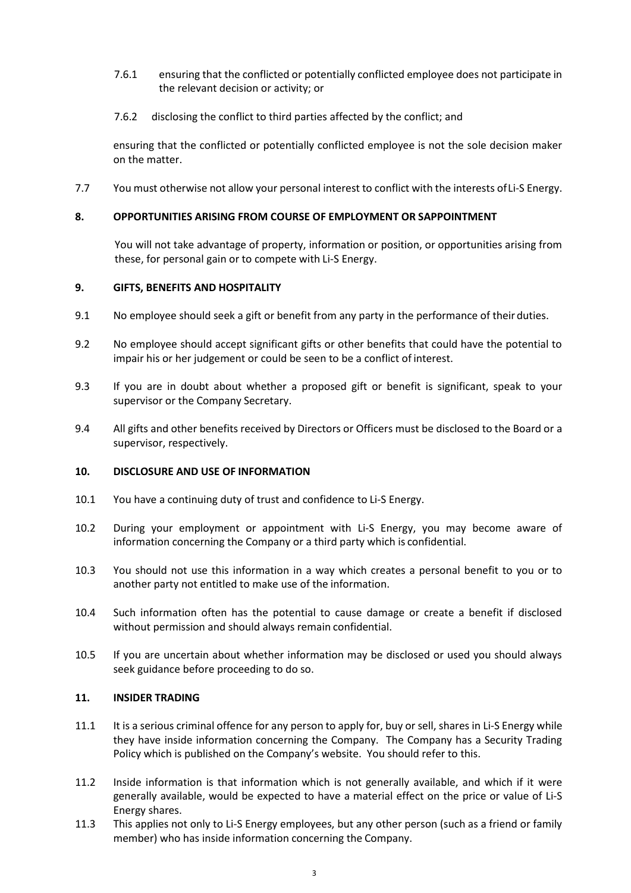- 7.6.1 ensuring that the conflicted or potentially conflicted employee does not participate in the relevant decision or activity; or
- 7.6.2 disclosing the conflict to third parties affected by the conflict; and

ensuring that the conflicted or potentially conflicted employee is not the sole decision maker on the matter.

7.7 You must otherwise not allow your personal interest to conflict with the interests of Li-S Energy.

## **8. OPPORTUNITIES ARISING FROM COURSE OF EMPLOYMENT OR SAPPOINTMENT**

You will not take advantage of property, information or position, or opportunities arising from these, for personal gain or to compete with Li-S Energy.

#### **9. GIFTS, BENEFITS AND HOSPITALITY**

- 9.1 No employee should seek a gift or benefit from any party in the performance of their duties.
- 9.2 No employee should accept significant gifts or other benefits that could have the potential to impair his or her judgement or could be seen to be a conflict of interest.
- 9.3 If you are in doubt about whether a proposed gift or benefit is significant, speak to your supervisor or the Company Secretary.
- 9.4 All gifts and other benefits received by Directors or Officers must be disclosed to the Board or a supervisor, respectively.

### **10. DISCLOSURE AND USE OF INFORMATION**

- 10.1 You have a continuing duty of trust and confidence to Li-S Energy.
- 10.2 During your employment or appointment with Li-S Energy, you may become aware of information concerning the Company or a third party which is confidential.
- 10.3 You should not use this information in a way which creates a personal benefit to you or to another party not entitled to make use of the information.
- 10.4 Such information often has the potential to cause damage or create a benefit if disclosed without permission and should always remain confidential.
- 10.5 If you are uncertain about whether information may be disclosed or used you should always seek guidance before proceeding to do so.

#### **11. INSIDER TRADING**

- 11.1 It is a serious criminal offence for any person to apply for, buy or sell, shares in Li-S Energy while they have inside information concerning the Company. The Company has a Security Trading Policy which is published on the Company's website. You should refer to this.
- 11.2 Inside information is that information which is not generally available, and which if it were generally available, would be expected to have a material effect on the price or value of Li-S Energy shares.
- 11.3 This applies not only to Li-S Energy employees, but any other person (such as a friend or family member) who has inside information concerning the Company.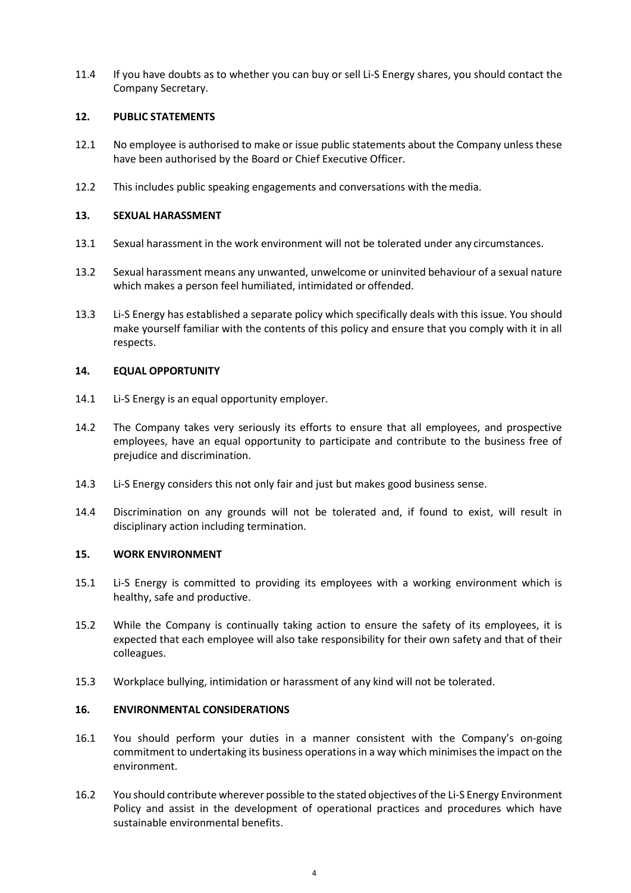11.4 If you have doubts as to whether you can buy or sell Li-S Energy shares, you should contact the Company Secretary.

#### **12. PUBLIC STATEMENTS**

- 12.1 No employee is authorised to make or issue public statements about the Company unless these have been authorised by the Board or Chief Executive Officer.
- 12.2 This includes public speaking engagements and conversations with the media.

## **13. SEXUAL HARASSMENT**

- 13.1 Sexual harassment in the work environment will not be tolerated under any circumstances.
- 13.2 Sexual harassment means any unwanted, unwelcome or uninvited behaviour of a sexual nature which makes a person feel humiliated, intimidated or offended.
- 13.3 Li-S Energy has established a separate policy which specifically deals with this issue. You should make yourself familiar with the contents of this policy and ensure that you comply with it in all respects.

#### **14. EQUAL OPPORTUNITY**

- 14.1 Li-S Energy is an equal opportunity employer.
- 14.2 The Company takes very seriously its efforts to ensure that all employees, and prospective employees, have an equal opportunity to participate and contribute to the business free of prejudice and discrimination.
- 14.3 Li-S Energy considers this not only fair and just but makes good business sense.
- 14.4 Discrimination on any grounds will not be tolerated and, if found to exist, will result in disciplinary action including termination.

#### **15. WORK ENVIRONMENT**

- 15.1 Li-S Energy is committed to providing its employees with a working environment which is healthy, safe and productive.
- 15.2 While the Company is continually taking action to ensure the safety of its employees, it is expected that each employee will also take responsibility for their own safety and that of their colleagues.
- 15.3 Workplace bullying, intimidation or harassment of any kind will not be tolerated.

#### **16. ENVIRONMENTAL CONSIDERATIONS**

- 16.1 You should perform your duties in a manner consistent with the Company's on-going commitment to undertaking its business operations in a way which minimises the impact on the environment.
- 16.2 You should contribute wherever possible to the stated objectives of the Li-S Energy Environment Policy and assist in the development of operational practices and procedures which have sustainable environmental benefits.